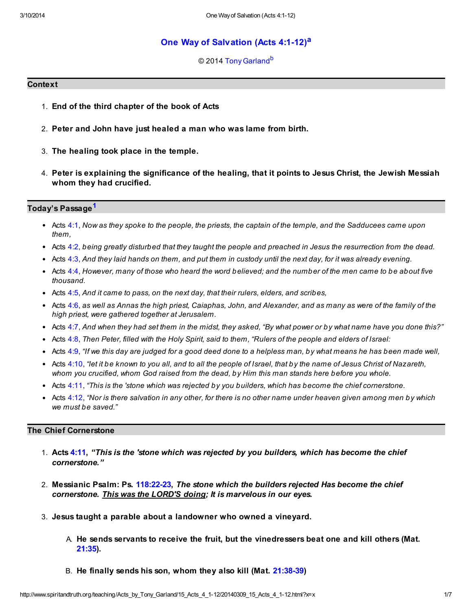# [One Way of Salvation \(Acts 4:1-12\)](http://www.spiritandtruth.org/teaching/Acts_by_Tony_Garland/15_Acts_4_1-12/index.htm)[a](#page-6-0)

### <span id="page-0-2"></span><span id="page-0-1"></span>© 2014 [Tony Garland](http://www.spiritandtruth.org/id/tg.htm)<sup>[b](#page-6-1)</sup>

#### **Context**

- 1. End of the third chapter of the book of Acts
- 2. Peter and John have just healed a man who was lame from birth.
- 3. The healing took place in the temple.
- 4. Peter is explaining the significance of the healing, that it points to Jesus Christ, the Jewish Messiah whom they had crucified.

#### Today's Passage<sup>[1](#page-5-0)</sup>

- <span id="page-0-0"></span>• Acts [4:1,](http://www.spiritandtruth.org/bibles/nasb/b44c004.htm#Acts_C4V1) Now as they spoke to the people, the priests, the captain of the temple, and the Sadducees came upon them,
- Acts [4:2,](http://www.spiritandtruth.org/bibles/nasb/b44c004.htm#Acts_C4V2) being greatly disturbed that they taught the people and preached in Jesus the resurrection from the dead.
- Acts  $4:3$ , And they laid hands on them, and put them in custody until the next day, for it was already evening.
- Acts  $4:4$ , However, many of those who heard the word believed; and the number of the men came to be about five thousand.
- Acts  $4:5$ , And it came to pass, on the next day, that their rulers, elders, and scribes,
- Acts [4:6,](http://www.spiritandtruth.org/bibles/nasb/b44c004.htm#Acts_C4V6) as well as Annas the high priest, Caiaphas, John, and Alexander, and as many as were of the family of the high priest, were gathered together at Jerusalem.
- Acts [4:7,](http://www.spiritandtruth.org/bibles/nasb/b44c004.htm#Acts_C4V7) And when they had set them in the midst, they asked, "By what power or by what name have you done this?"
- Acts [4:8,](http://www.spiritandtruth.org/bibles/nasb/b44c004.htm#Acts_C4V8) Then Peter, filled with the Holy Spirit, said to them, "Rulers of the people and elders of Israel:
- Acts  $4:9$ , "If we this day are judged for a good deed done to a helpless man, by what means he has been made well,
- Acts [4:10](http://www.spiritandtruth.org/bibles/nasb/b44c004.htm#Acts_C4V10), "let it be known to you all, and to all the people of Israel, that by the name of Jesus Christ of Nazareth, whom you crucified, whom God raised from the dead, by Him this man stands here before you whole.
- Acts [4:11](http://www.spiritandtruth.org/bibles/nasb/b44c004.htm#Acts_C4V11), "This is the 'stone which was rejected by you builders, which has become the chief cornerstone.
- Acts [4:12](http://www.spiritandtruth.org/bibles/nasb/b44c004.htm#Acts_C4V12), "Nor is there salvation in any other, for there is no other name under heaven given among men by which we must be saved."

### The Chief Cornerstone

- 1. Acts [4:11](http://www.spiritandtruth.org/bibles/nasb/b44c004.htm#Acts_C4V11), "This is the 'stone which was rejected by you builders, which has become the chief cornerstone."
- 2. Messianic Psalm: Ps. [118:22-23](http://www.spiritandtruth.org/bibles/nasb/b19c118.htm#Ps._C118V22), The stone which the builders rejected Has become the chief cornerstone. This was the LORD'S doing; It is marvelous in our eyes.
- 3. Jesus taught a parable about a landowner who owned a vineyard.
	- A. He sends servants to receive the fruit, but the vinedressers beat one and kill others (Mat. [21:35](http://www.spiritandtruth.org/bibles/nasb/b40c021.htm#Mat._C21V35)).
	- B. He finally sends his son, whom they also kill (Mat. [21:38-39](http://www.spiritandtruth.org/bibles/nasb/b40c021.htm#Mat._C21V38))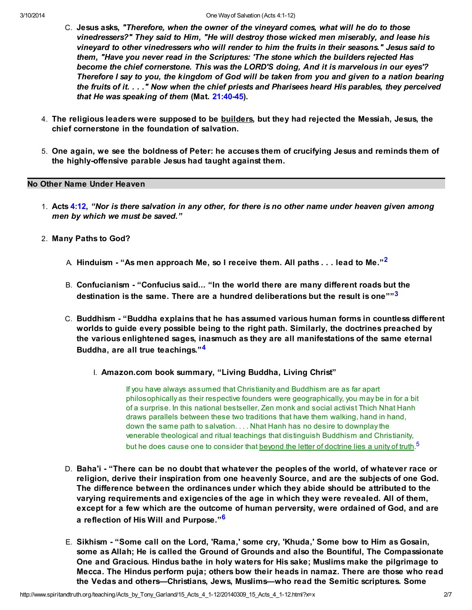- C. Jesus asks, "Therefore, when the owner of the vineyard comes, what will he do to those vinedressers?" They said to Him, "He will destroy those wicked men miserably, and lease his vineyard to other vinedressers who will render to him the fruits in their seasons." Jesus said to them, "Have you never read in the Scriptures: 'The stone which the builders rejected Has become the chief cornerstone. This was the LORD'S doing, And it is marvelous in our eyes'? Therefore I say to you, the kingdom of God will be taken from you and given to a nation bearing the fruits of it. . . ." Now when the chief priests and Pharisees heard His parables, they perceived that He was speaking of them (Mat. [21:40-45\)](http://www.spiritandtruth.org/bibles/nasb/b40c021.htm#Mat._C21V40).
- 4. The religious leaders were supposed to be **builders**, but they had rejected the Messiah, Jesus, the chief cornerstone in the foundation of salvation.
- 5. One again, we see the boldness of Peter: he accuses them of crucifying Jesus and reminds them of the highly-offensive parable Jesus had taught against them.

#### No Other Name Under Heaven

- 1. Acts [4:12](http://www.spiritandtruth.org/bibles/nasb/b44c004.htm#Acts_C4V12), "Nor is there salvation in any other, for there is no other name under heaven given among men by which we must be saved."
- 2. Many Paths to God?
	- A. Hinduism "As men approach Me, so I receive them. All paths  $\dots$  lead to Me."<sup>[2](#page-5-1)</sup>
	- B. Confucianism "Confucius said... "In the world there are many different roads but the destination is the same. There are a hundred deliberations but the result is one"<sup>[3](#page-5-2)</sup>
	- C. Buddhism "Buddha explains that he has assumed various human forms in countless different worlds to guide every possible being to the right path. Similarly, the doctrines preached by the various enlightened sages, inasmuch as they are all manifestations of the same eternal Buddha, are all true teachings."[4](#page-5-3)
		- I. Amazon.com book summary, "Living Buddha, Living Christ"

<span id="page-1-3"></span><span id="page-1-2"></span><span id="page-1-1"></span><span id="page-1-0"></span>If you have always assumed that Christianity and Buddhism are as far apart philosophically as their respective founders were geographically, you may be in for a bit of a surprise. In this national bestseller, Zen monk and social activist Thich Nhat Hanh draws parallels between these two traditions that have them walking, hand in hand, down the same path to salvation. . . . Nhat Hanh has no desire to downplay the venerable theological and ritual teachings that distinguish Buddhism and Christianity, but he does cause one to consider that <u>beyond the letter of doctrine lies a unity of truth.</u><sup>[5](#page-5-4)</sup>

- D. Baha'i "There can be no doubt that whatever the peoples of the world, of whatever race or religion, derive their inspiration from one heavenly Source, and are the subjects of one God. The difference between the ordinances under which they abide should be attributed to the varying requirements and exigencies of the age in which they were revealed. All of them, except for a few which are the outcome of human perversity, were ordained of God, and are a reflection of His Will and Purpose."[6](#page-5-5)
- <span id="page-1-4"></span>E. Sikhism - "Some call on the Lord, 'Rama,' some cry, 'Khuda,' Some bow to Him as Gosain, some as Allah; He is called the Ground of Grounds and also the Bountiful, The Compassionate One and Gracious. Hindus bathe in holy waters for His sake; Muslims make the pilgrimage to Mecca. The Hindus perform puja; others bow their heads in namaz. There are those who read the Vedas and others—Christians, Jews, Muslims—who read the Semitic scriptures. Some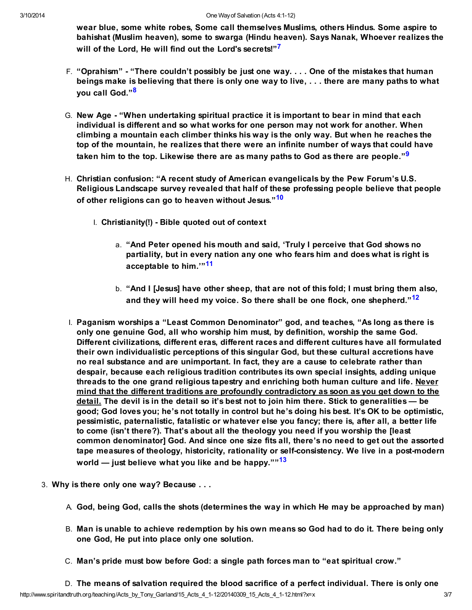<span id="page-2-0"></span>wear blue, some white robes, Some call themselves Muslims, others Hindus. Some aspire to bahishat (Muslim heaven), some to swarga (Hindu heaven). Says Nanak, Whoever realizes the will of the Lord, He will find out the Lord's secrets!"<sup>[7](#page-5-6)</sup>

- <span id="page-2-1"></span>F. "Oprahism" - "There couldn't possibly be just one way. . . . One of the mistakes that human beings make is believing that there is only one way to live, . . . there are many paths to what you call God."[8](#page-5-7)
- G. New Age "When undertaking spiritual practice it is important to bear in mind that each individual is different and so what works for one person may not work for another. When climbing a mountain each climber thinks his way is the only way. But when he reaches the top of the mountain, he realizes that there were an infinite number of ways that could have taken him to the top. Likewise there are as many paths to God as there are people."<sup>[9](#page-5-8)</sup>
- <span id="page-2-3"></span><span id="page-2-2"></span>H. Christian confusion: "A recent study of American evangelicals by the Pew Forum's U.S. Religious Landscape survey revealed that half of these professing people believe that people of other religions can go to heaven without Jesus."<sup>[10](#page-5-9)</sup>
	- I. Christianity(!) Bible quoted out of context
		- a. "And Peter opened his mouth and said, 'Truly I perceive that God shows no partiality, but in every nation any one who fears him and does what is right is acceptable to him.<sup>[11](#page-5-10)</sup>
		- b. "And I [Jesus] have other sheep, that are not of this fold; I must bring them also, and they will heed my voice. So there shall be one flock, one shepherd."<sup>[12](#page-5-11)</sup>
- <span id="page-2-5"></span><span id="page-2-4"></span>I. Paganism worships a "Least Common Denominator" god, and teaches, "As long as there is only one genuine God, all who worship him must, by definition, worship the same God. Different civilizations, different eras, different races and different cultures have all formulated their own individualistic perceptions of this singular God, but these cultural accretions have no real substance and are unimportant. In fact, they are a cause to celebrate rather than despair, because each religious tradition contributes its own special insights, adding unique threads to the one grand religious tapestry and enriching both human culture and life. Never mind that the different traditions are profoundly contradictory as soon as you get down to the detail. The devil is in the detail so it's best not to join him there. Stick to generalities — be good; God loves you; he's not totally in control but he's doing his best. It's OK to be optimistic, pessimistic, paternalistic, fatalistic or whatever else you fancy; there is, after all, a better life to come (isn't there?). That's about all the theology you need if you worship the [least common denominator] God. And since one size fits all, there's no need to get out the assorted tape measures of theology, historicity, rationality or self-consistency. We live in a post-modern world — just believe what you like and be happy." $13$
- <span id="page-2-6"></span>3. Why is there only one way? Because . . .
	- A. God, being God, calls the shots (determines the way in which He may be approached by man)
	- B. Man is unable to achieve redemption by his own means so God had to do it. There being only one God, He put into place only one solution.
	- C. Man's pride must bow before God: a single path forces man to "eat spiritual crow."

http://www.spiritandtruth.org/teaching/Acts\_by\_Tony\_Garland/15\_Acts\_4\_1-12/20140309\_15\_Acts\_4\_1-12.html?x=x 3/7 D. The means of salvation required the blood sacrifice of a perfect individual. There is only one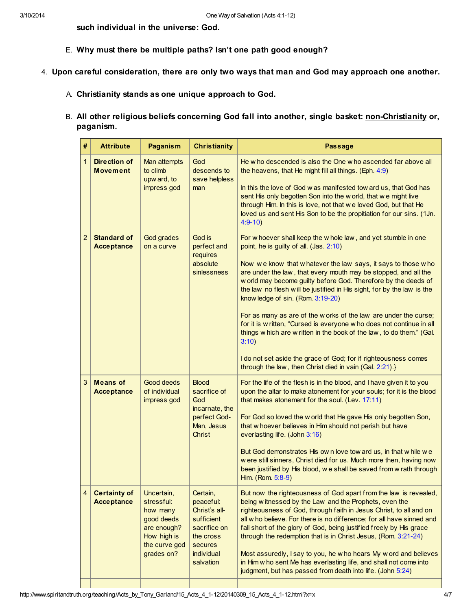such individual in the universe: God.

- E. Why must there be multiple paths? Isn't one path good enough?
- 4. Upon careful consideration, there are only two ways that man and God may approach one another.
	- A. Christianity stands as one unique approach to God.
	- B. All other religious beliefs concerning God fall into another, single basket: non-Christianity or, paganism.

| #              | <b>Attribute</b>                         | Paganism                                                                                                        | <b>Christianity</b>                                                                                                     | <b>Passage</b>                                                                                                                                                                                                                                                                                                                                                                                                                                                                                                                                                                                                                                                                                                                                                                             |  |
|----------------|------------------------------------------|-----------------------------------------------------------------------------------------------------------------|-------------------------------------------------------------------------------------------------------------------------|--------------------------------------------------------------------------------------------------------------------------------------------------------------------------------------------------------------------------------------------------------------------------------------------------------------------------------------------------------------------------------------------------------------------------------------------------------------------------------------------------------------------------------------------------------------------------------------------------------------------------------------------------------------------------------------------------------------------------------------------------------------------------------------------|--|
| $\mathbf{1}$   | <b>Direction of</b><br><b>Movement</b>   | Man attempts<br>to climb<br>upw ard, to<br>impress god                                                          | God<br>descends to<br>save helpless<br>man                                                                              | He w ho descended is also the One w ho ascended far above all<br>the heavens, that He might fill all things. (Eph. 4:9)<br>In this the love of God w as manifested tow ard us, that God has<br>sent His only begotten Son into the w orld, that we might live<br>through Him. In this is love, not that we loved God, but that He<br>loved us and sent His Son to be the propitiation for our sins. (1Jn.<br>$4:9-10$                                                                                                                                                                                                                                                                                                                                                                      |  |
| $\overline{2}$ | <b>Standard of</b><br><b>Acceptance</b>  | God grades<br>on a curve                                                                                        | God is<br>perfect and<br>requires<br>absolute<br>sinlessness                                                            | For w hoever shall keep the w hole law, and yet stumble in one<br>point, he is guilty of all. (Jas. 2:10)<br>Now we know that whatever the law says, it says to those who<br>are under the law, that every mouth may be stopped, and all the<br>w orld may become guilty before God. Therefore by the deeds of<br>the law no flesh will be justified in His sight, for by the law is the<br>know ledge of sin. (Rom. 3:19-20)<br>For as many as are of the w orks of the law are under the curse;<br>for it is w ritten, "Cursed is everyone w ho does not continue in all<br>things w hich are w ritten in the book of the law, to do them." (Gal.<br>3:10)<br>I do not set aside the grace of God; for if righteousness comes<br>through the law, then Christ died in vain (Gal. 2:21).} |  |
| 3              | <b>Means of</b><br><b>Acceptance</b>     | Good deeds<br>of individual<br>impress god                                                                      | <b>Blood</b><br>sacrifice of<br>God<br>incarnate, the<br>perfect God-<br>Man, Jesus<br><b>Christ</b>                    | For the life of the flesh is in the blood, and I have given it to you<br>upon the altar to make atonement for your souls; for it is the blood<br>that makes atonement for the soul. (Lev. 17:11)<br>For God so loved the w orld that He gave His only begotten Son,<br>that w hoever believes in Him should not perish but have<br>everlasting life. (John 3:16)<br>But God demonstrates His own love tow ard us, in that while we<br>w ere still sinners, Christ died for us. Much more then, having now<br>been justified by His blood, we shall be saved from wrath through<br>Him. (Rom. 5:8-9)                                                                                                                                                                                        |  |
| $\overline{4}$ | <b>Certainty of</b><br><b>Acceptance</b> | Uncertain,<br>stressful:<br>how many<br>good deeds<br>are enough?<br>How high is<br>the curve god<br>grades on? | Certain,<br>peaceful:<br>Christ's all-<br>sufficient<br>sacrifice on<br>the cross<br>secures<br>individual<br>salvation | But now the righteousness of God apart from the law is revealed,<br>being witnessed by the Law and the Prophets, even the<br>righteousness of God, through faith in Jesus Christ, to all and on<br>all w ho believe. For there is no difference; for all have sinned and<br>fall short of the glory of God, being justified freely by His grace<br>through the redemption that is in Christ Jesus, (Rom. 3:21-24)<br>Most assuredly, I say to you, he w ho hears My w ord and believes<br>in Him w ho sent Me has everlasting life, and shall not come into<br>judgment, but has passed from death into life. (John 5:24)                                                                                                                                                                  |  |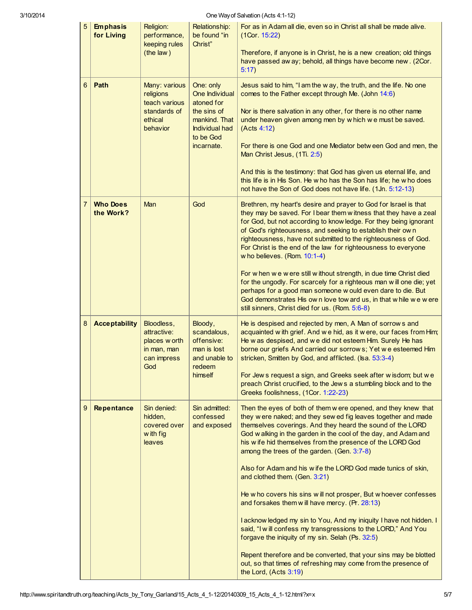| 3/10/2014 |                |                               | One Way of Salvation (Acts 4:1-12)                                                 |                                                                                                                               |                                                                                                                                                                                                                                                                                                                                                                                                                                                                                                                                                                                                                                                                                                                                                                                                                                                                                                                                                                  |  |  |  |
|-----------|----------------|-------------------------------|------------------------------------------------------------------------------------|-------------------------------------------------------------------------------------------------------------------------------|------------------------------------------------------------------------------------------------------------------------------------------------------------------------------------------------------------------------------------------------------------------------------------------------------------------------------------------------------------------------------------------------------------------------------------------------------------------------------------------------------------------------------------------------------------------------------------------------------------------------------------------------------------------------------------------------------------------------------------------------------------------------------------------------------------------------------------------------------------------------------------------------------------------------------------------------------------------|--|--|--|
|           | 5              | <b>Emphasis</b><br>for Living | Religion:<br>performance,<br>keeping rules<br>(the law)                            | Relationship:<br>be found "in<br>Christ"                                                                                      | For as in Adam all die, even so in Christ all shall be made alive.<br>(1Cor. 15:22)<br>Therefore, if anyone is in Christ, he is a new creation; old things<br>have passed aw ay; behold, all things have become new. (2Cor.<br>5:17                                                                                                                                                                                                                                                                                                                                                                                                                                                                                                                                                                                                                                                                                                                              |  |  |  |
|           | 6              | Path                          | Many: various<br>religions<br>teach various<br>standards of<br>ethical<br>behavior | One: only<br>One Individual<br>atoned for<br>the sins of<br>mankind. That<br><b>Individual had</b><br>to be God<br>incarnate. | Jesus said to him, "I am the w ay, the truth, and the life. No one<br>comes to the Father except through Me. (John 14:6)<br>Nor is there salvation in any other, for there is no other name<br>under heaven given among men by which we must be saved.<br>(Acts 4:12)<br>For there is one God and one Mediator betw een God and men, the<br>Man Christ Jesus, (1Ti. 2:5)<br>And this is the testimony: that God has given us eternal life, and<br>this life is in His Son. He w ho has the Son has life; he w ho does<br>not have the Son of God does not have life. (1Jn. 5:12-13)                                                                                                                                                                                                                                                                                                                                                                              |  |  |  |
|           | $\overline{7}$ | <b>Who Does</b><br>the Work?  | <b>Man</b>                                                                         | God                                                                                                                           | Brethren, my heart's desire and prayer to God for Israel is that<br>they may be saved. For I bear them witness that they have a zeal<br>for God, but not according to know ledge. For they being ignorant<br>of God's righteousness, and seeking to establish their own<br>righteousness, have not submitted to the righteousness of God.<br>For Christ is the end of the law for righteousness to everyone<br>w ho believes. (Rom. 10:1-4)<br>For w hen w e w ere still w ithout strength, in due time Christ died<br>for the ungodly. For scarcely for a righteous man will one die; yet<br>perhaps for a good man someone w ould even dare to die. But<br>God demonstrates His own love tow ard us, in that while we were<br>still sinners, Christ died for us. (Rom. 5:6-8)                                                                                                                                                                                  |  |  |  |
|           | 8              | <b>Acceptability</b>          | Bloodless,<br>attractive:<br>places w orth<br>in man, man<br>can impress<br>God    | Bloody,<br>scandalous,<br>offensive:<br>man is lost<br>and unable to<br>redeem<br>himself                                     | He is despised and rejected by men, A Man of sorrow s and<br>acquainted w ith grief. And we hid, as it were, our faces from Him;<br>He was despised, and we did not esteem Him. Surely He has<br>borne our griefs And carried our sorrows; Yet we esteemed Him<br>stricken, Smitten by God, and afflicted. (Isa. 53:3-4)<br>For Jew s request a sign, and Greeks seek after w isdom; but we<br>preach Christ crucified, to the Jews a stumbling block and to the<br>Greeks foolishness, (1Cor. 1:22-23)                                                                                                                                                                                                                                                                                                                                                                                                                                                          |  |  |  |
|           | 9              | Repentance                    | Sin denied:<br>hidden,<br>covered over<br>w ith fig<br>leaves                      | Sin admitted:<br>confessed<br>and exposed                                                                                     | Then the eyes of both of them w ere opened, and they knew that<br>they w ere naked; and they sew ed fig leaves together and made<br>themselves coverings. And they heard the sound of the LORD<br>God w alking in the garden in the cool of the day, and Adam and<br>his wife hid themselves from the presence of the LORD God<br>among the trees of the garden. (Gen. 3:7-8)<br>Also for Adam and his wife the LORD God made tunics of skin,<br>and clothed them. (Gen. 3:21)<br>He w ho covers his sins w ill not prosper, But w hoever confesses<br>and forsakes them will have mercy. (Pr. 28:13)<br>I acknow ledged my sin to You, And my iniquity I have not hidden. I<br>said, "I will confess my transgressions to the LORD," And You<br>forgave the iniquity of my sin. Selah (Ps. 32:5)<br>Repent therefore and be converted, that your sins may be blotted<br>out, so that times of refreshing may come from the presence of<br>the Lord, (Acts 3:19) |  |  |  |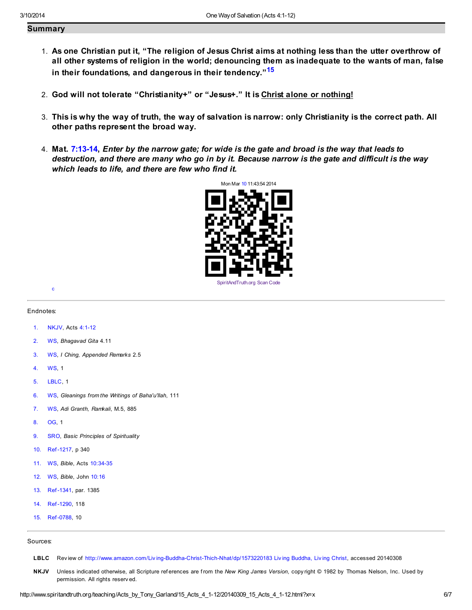## Summary

- 1. As one Christian put it, "The religion of Jesus Christ aims at nothing less than the utter overthrow of all other systems of religion in the world; denouncing them as inadequate to the wants of man, false in their foundations, and dangerous in their tendency."<sup>[15](#page-5-13)</sup>
- 2. God will not tolerate "Christianity+" or "Jesus+." It is Christ alone or nothing!
- 3. This is why the way of truth, the way of salvation is narrow: only Christianity is the correct path. All other paths represent the broad way.
- 4. Mat. [7:13-14,](http://www.spiritandtruth.org/bibles/nasb/b40c007.htm#Mat._C7V13) Enter by the narrow gate; for wide is the gate and broad is the way that leads to destruction, and there are many who go in by it. Because narrow is the gate and difficult is the way which leads to life, and there are few who find it.

<span id="page-5-14"></span>

#### Endnotes:

<span id="page-5-15"></span>[c](#page-6-2)

- <span id="page-5-0"></span>[1.](#page-0-0) NKJV, Acts [4:1-12](http://www.spiritandtruth.org/bibles/nasb/b44c004.htm#Acts_C4V1)
- <span id="page-5-1"></span>[2.](#page-1-0) WS, Bhagavad Gita 4.11
- <span id="page-5-2"></span>[3.](#page-1-1) WS, I Ching, Appended Remarks 2.5
- <span id="page-5-3"></span>[4.](#page-1-2) WS, 1
- <span id="page-5-4"></span>[5.](#page-1-3) LBLC, 1
- <span id="page-5-5"></span>[6.](#page-1-4) WS, Gleanings from the Writings of Baha'u'llah, 111
- <span id="page-5-6"></span>[7.](#page-2-0) WS, Adi Granth, Ramkali, M.5, 885
- <span id="page-5-7"></span>[8.](#page-2-1) OG, 1
- <span id="page-5-8"></span>[9.](#page-2-2) SRO, Basic Principles of Spirituality
- <span id="page-5-9"></span>[10.](#page-2-3) Ref -1217, p 340
- <span id="page-5-10"></span>[11.](#page-2-4) WS, Bible, Acts [10:34-35](http://www.spiritandtruth.org/bibles/nasb/b44c010.htm#Acts_C10V34)
- <span id="page-5-11"></span>[12.](#page-2-5) WS, Bible, John [10:16](http://www.spiritandtruth.org/bibles/nasb/b43c010.htm#John_C10V16)
- <span id="page-5-12"></span>[13.](#page-2-6) Ref -1341, par. 1385
- 14. Ref -1290, 118
- <span id="page-5-13"></span>[15.](#page-5-14) Ref -0788, 10

#### Sources:

- LBLC Review of http://www.amazon.com/Living-Buddha-Christ-Thich-Nhat/dp/1573220183 Living Buddha, Living Christ, accessed 20140308
- NKJV Unless indicated otherwise, all Scripture references are from the New King James Version, copy right © 1982 by Thomas Nelson, Inc. Used by permission. All rights reserv ed.